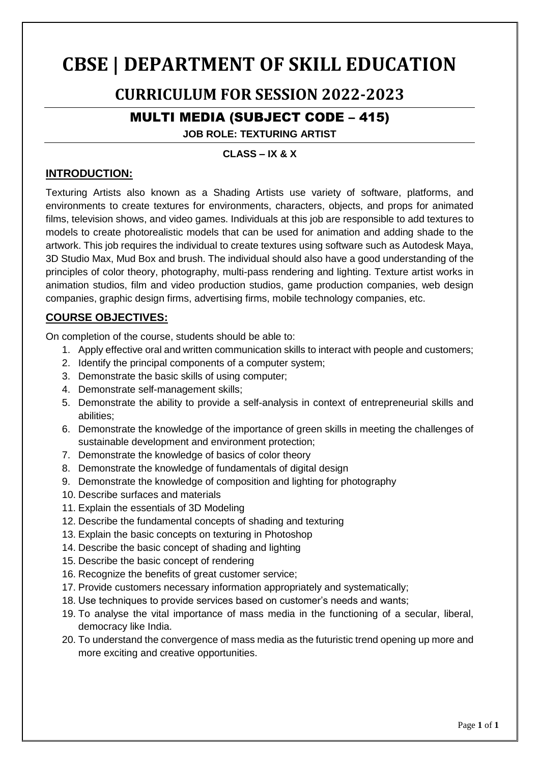# **CBSE | DEPARTMENT OF SKILL EDUCATION**

# **CURRICULUM FOR SESSION 2022-2023**

# MULTI MEDIA (SUBJECT CODE – 415)

**JOB ROLE: TEXTURING ARTIST**

# **CLASS – IX & X**

### **INTRODUCTION:**

Texturing Artists also known as a Shading Artists use variety of software, platforms, and environments to create textures for environments, characters, objects, and props for animated films, television shows, and video games. Individuals at this job are responsible to add textures to models to create photorealistic models that can be used for animation and adding shade to the artwork. This job requires the individual to create textures using software such as Autodesk Maya, 3D Studio Max, Mud Box and brush. The individual should also have a good understanding of the principles of color theory, photography, multi-pass rendering and lighting. Texture artist works in animation studios, film and video production studios, game production companies, web design companies, graphic design firms, advertising firms, mobile technology companies, etc.

# **COURSE OBJECTIVES:**

On completion of the course, students should be able to:

- 1. Apply effective oral and written communication skills to interact with people and customers;
- 2. Identify the principal components of a computer system;
- 3. Demonstrate the basic skills of using computer;
- 4. Demonstrate self-management skills;
- 5. Demonstrate the ability to provide a self-analysis in context of entrepreneurial skills and abilities;
- 6. Demonstrate the knowledge of the importance of green skills in meeting the challenges of sustainable development and environment protection;
- 7. Demonstrate the knowledge of basics of color theory
- 8. Demonstrate the knowledge of fundamentals of digital design
- 9. Demonstrate the knowledge of composition and lighting for photography
- 10. Describe surfaces and materials
- 11. Explain the essentials of 3D Modeling
- 12. Describe the fundamental concepts of shading and texturing
- 13. Explain the basic concepts on texturing in Photoshop
- 14. Describe the basic concept of shading and lighting
- 15. Describe the basic concept of rendering
- 16. Recognize the benefits of great customer service;
- 17. Provide customers necessary information appropriately and systematically;
- 18. Use techniques to provide services based on customer's needs and wants;
- 19. To analyse the vital importance of mass media in the functioning of a secular, liberal, democracy like India.
- 20. To understand the convergence of mass media as the futuristic trend opening up more and more exciting and creative opportunities.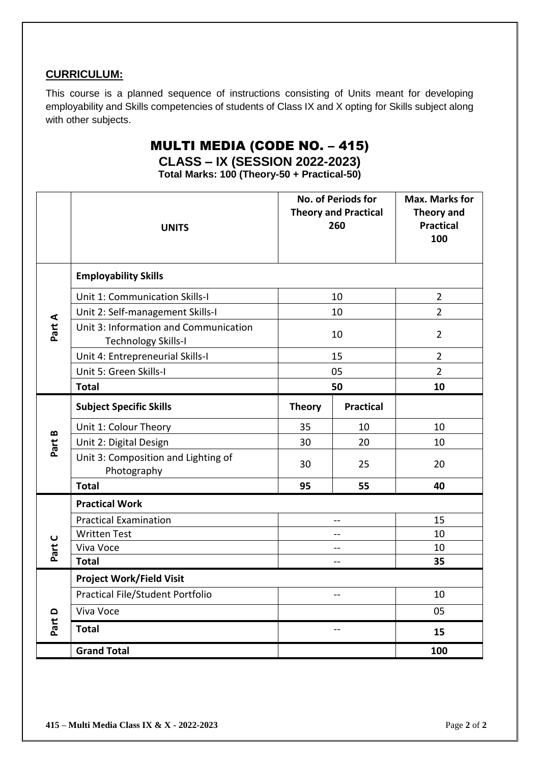### **CURRICULUM:**

This course is a planned sequence of instructions consisting of Units meant for developing employability and Skills competencies of students of Class IX and X opting for Skills subject along with other subjects.

# MULTI MEDIA (CODE NO. – 415)

# **CLASS – IX (SESSION 2022-2023)**

**Total Marks: 100 (Theory-50 + Practical-50)**

|          | <b>UNITS</b>                                                        |                | No. of Periods for<br><b>Theory and Practical</b><br>260 | <b>Max. Marks for</b><br>Theory and<br><b>Practical</b><br>100 |  |  |
|----------|---------------------------------------------------------------------|----------------|----------------------------------------------------------|----------------------------------------------------------------|--|--|
|          | <b>Employability Skills</b>                                         |                |                                                          |                                                                |  |  |
|          | Unit 1: Communication Skills-I                                      |                | 10                                                       | $\overline{2}$                                                 |  |  |
|          | Unit 2: Self-management Skills-I                                    |                | 10                                                       | $\overline{2}$                                                 |  |  |
| Part A   | Unit 3: Information and Communication<br><b>Technology Skills-I</b> |                | 10                                                       | $\overline{2}$                                                 |  |  |
|          | Unit 4: Entrepreneurial Skills-I                                    |                | 15                                                       | $\overline{2}$                                                 |  |  |
|          | Unit 5: Green Skills-I                                              |                | 05                                                       | $\overline{2}$                                                 |  |  |
|          | <b>Total</b>                                                        |                | 50                                                       | 10                                                             |  |  |
|          | <b>Subject Specific Skills</b>                                      | <b>Theory</b>  | <b>Practical</b>                                         |                                                                |  |  |
| $\bf{m}$ | Unit 1: Colour Theory                                               | 35             | 10                                                       | 10                                                             |  |  |
| Part     | Unit 2: Digital Design                                              | 30             | 20                                                       | 10                                                             |  |  |
|          | Unit 3: Composition and Lighting of<br>Photography                  | 30             | 25                                                       | 20                                                             |  |  |
|          | <b>Total</b>                                                        | 95             | 55                                                       | 40                                                             |  |  |
|          | <b>Practical Work</b>                                               |                |                                                          |                                                                |  |  |
|          | <b>Practical Examination</b>                                        | $-$            |                                                          | 15                                                             |  |  |
|          | <b>Written Test</b>                                                 |                | $\overline{a}$                                           | 10                                                             |  |  |
| Part C   | Viva Voce                                                           |                | $-$                                                      | 10                                                             |  |  |
|          | <b>Total</b>                                                        | $-$            |                                                          | 35                                                             |  |  |
|          | <b>Project Work/Field Visit</b>                                     |                |                                                          |                                                                |  |  |
|          | Practical File/Student Portfolio                                    | $\overline{a}$ |                                                          | 10                                                             |  |  |
|          | Viva Voce                                                           |                |                                                          | 05                                                             |  |  |
| Part D   | <b>Total</b>                                                        |                | $-$                                                      | 15                                                             |  |  |
|          | <b>Grand Total</b>                                                  |                |                                                          | 100                                                            |  |  |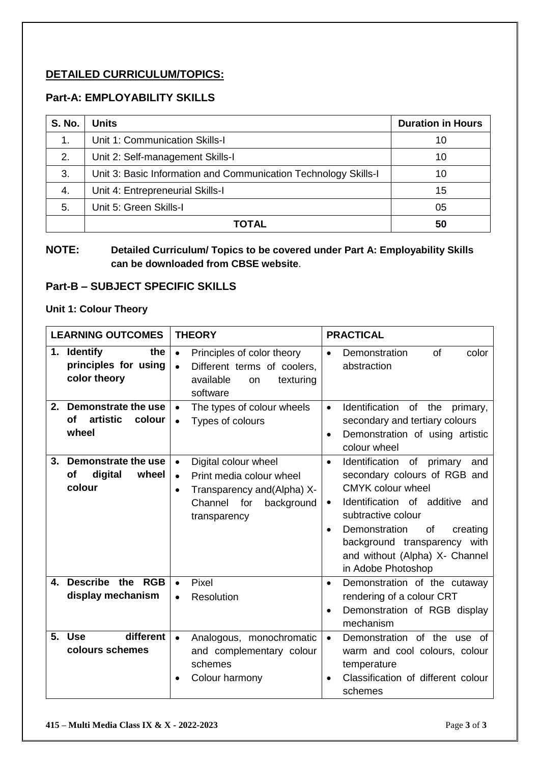### **DETAILED CURRICULUM/TOPICS:**

### **Part-A: EMPLOYABILITY SKILLS**

| <b>S. No.</b> | <b>Units</b>                                                    | <b>Duration in Hours</b> |
|---------------|-----------------------------------------------------------------|--------------------------|
| 1.            | Unit 1: Communication Skills-I                                  | 10                       |
| 2.            | Unit 2: Self-management Skills-I                                | 10                       |
| 3.            | Unit 3: Basic Information and Communication Technology Skills-I | 10                       |
| 4.            | Unit 4: Entrepreneurial Skills-I                                | 15                       |
| 5.            | Unit 5: Green Skills-I                                          | 05                       |
|               | ΤΩΤΑΙ                                                           | 50                       |

### **NOTE: Detailed Curriculum/ Topics to be covered under Part A: Employability Skills can be downloaded from CBSE website**.

### **Part-B – SUBJECT SPECIFIC SKILLS**

#### **Unit 1: Colour Theory**

| <b>LEARNING OUTCOMES</b>                                       | <b>THEORY</b>                                                                                                                                                       | <b>PRACTICAL</b>                                                                                                                                                                                                                                                                           |
|----------------------------------------------------------------|---------------------------------------------------------------------------------------------------------------------------------------------------------------------|--------------------------------------------------------------------------------------------------------------------------------------------------------------------------------------------------------------------------------------------------------------------------------------------|
| 1. Identify<br>the<br>principles for using<br>color theory     | Principles of color theory<br>$\bullet$<br>Different terms of coolers,<br>$\bullet$<br>available<br>texturing<br><b>on</b><br>software                              | Demonstration<br>0f<br>color<br>$\bullet$<br>abstraction                                                                                                                                                                                                                                   |
| Demonstrate the use<br>2.<br>artistic<br>Οf<br>colour<br>wheel | The types of colour wheels<br>$\bullet$<br>Types of colours<br>$\bullet$                                                                                            | Identification<br>the<br>of<br>primary,<br>$\bullet$<br>secondary and tertiary colours<br>Demonstration of using artistic<br>$\bullet$<br>colour wheel                                                                                                                                     |
| Demonstrate the use<br>3.<br>digital<br>of<br>wheel<br>colour  | Digital colour wheel<br>$\bullet$<br>Print media colour wheel<br>$\bullet$<br>Transparency and (Alpha) X-<br>$\bullet$<br>Channel for<br>background<br>transparency | Identification of primary<br>and<br>$\bullet$<br>secondary colours of RGB and<br>CMYK colour wheel<br>Identification of additive and<br>٠<br>subtractive colour<br>Demonstration<br>0f<br>creating<br>background transparency with<br>and without (Alpha) X- Channel<br>in Adobe Photoshop |
| Describe the RGB<br>4.<br>display mechanism                    | Pixel<br>$\bullet$<br>Resolution<br>$\bullet$                                                                                                                       | Demonstration of the cutaway<br>$\bullet$<br>rendering of a colour CRT<br>Demonstration of RGB display<br>$\bullet$<br>mechanism                                                                                                                                                           |
| different<br><b>Use</b><br>5.<br>colours schemes               | Analogous, monochromatic<br>$\bullet$<br>and complementary colour<br>schemes<br>Colour harmony                                                                      | Demonstration of the use of<br>$\bullet$<br>warm and cool colours, colour<br>temperature<br>Classification of different colour<br>schemes                                                                                                                                                  |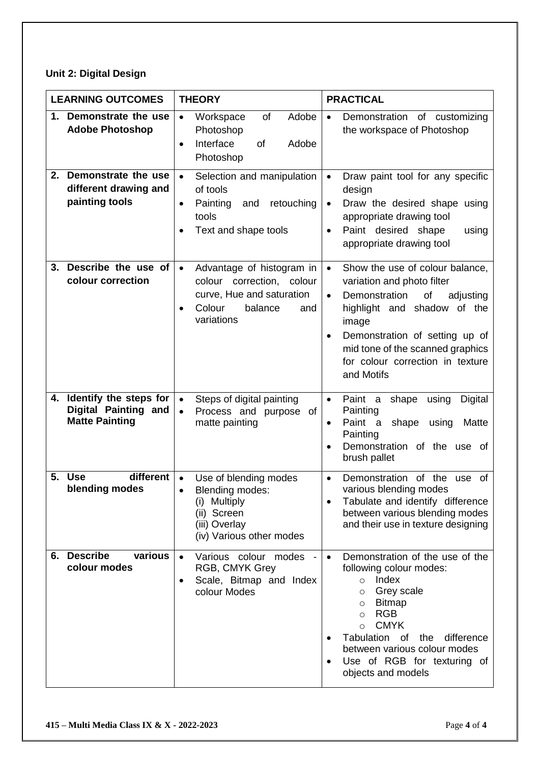# **Unit 2: Digital Design**

|         | <b>LEARNING OUTCOMES</b>                                                   | <b>THEORY</b>                                                                                                                                   | <b>PRACTICAL</b>                                                                                                                                                                                                                                                                                                                |
|---------|----------------------------------------------------------------------------|-------------------------------------------------------------------------------------------------------------------------------------------------|---------------------------------------------------------------------------------------------------------------------------------------------------------------------------------------------------------------------------------------------------------------------------------------------------------------------------------|
| $1_{-}$ | Demonstrate the use<br><b>Adobe Photoshop</b>                              | Adobe<br>Workspace<br>of<br>$\bullet$<br>Photoshop<br>Interface<br>Adobe<br><b>of</b><br>$\bullet$<br>Photoshop                                 | Demonstration of customizing<br>$\bullet$<br>the workspace of Photoshop                                                                                                                                                                                                                                                         |
| 2.      | Demonstrate the use<br>different drawing and<br>painting tools             | Selection and manipulation<br>$\bullet$<br>of tools<br>Painting<br>and<br>retouching<br>$\bullet$<br>tools<br>Text and shape tools<br>$\bullet$ | Draw paint tool for any specific<br>$\bullet$<br>design<br>Draw the desired shape using<br>$\bullet$<br>appropriate drawing tool<br>Paint desired shape<br>using<br>appropriate drawing tool                                                                                                                                    |
| 3.      | Describe the use of<br>colour correction                                   | Advantage of histogram in<br>$\bullet$<br>colour correction, colour<br>curve, Hue and saturation<br>Colour<br>balance<br>and<br>variations      | Show the use of colour balance,<br>$\bullet$<br>variation and photo filter<br>Demonstration<br>of<br>adjusting<br>$\bullet$<br>highlight and shadow of the<br>image<br>Demonstration of setting up of<br>mid tone of the scanned graphics<br>for colour correction in texture<br>and Motifs                                     |
|         | 4. Identify the steps for<br>Digital Painting and<br><b>Matte Painting</b> | Steps of digital painting<br>$\bullet$<br>Process and purpose of<br>$\bullet$<br>matte painting                                                 | Paint a<br>shape<br>using<br>Digital<br>$\bullet$<br>Painting<br>Paint<br>shape<br>using<br>Matte<br>a<br>$\bullet$<br>Painting<br>Demonstration of the use of<br>$\bullet$<br>brush pallet                                                                                                                                     |
| 5.      | <b>Use</b><br>different<br>blending modes                                  | Use of blending modes<br>Blending modes:<br><b>Multiply</b><br>(i)<br>(ii) Screen<br>(iii) Overlay<br>(iv) Various other modes                  | of the<br>Demonstration<br>use<br>0f<br>$\bullet$<br>various blending modes<br>Tabulate and identify difference<br>between various blending modes<br>and their use in texture designing                                                                                                                                         |
|         | 6. Describe<br>various<br>colour modes                                     | Various colour modes<br>RGB, CMYK Grey<br>Scale, Bitmap and Index<br>$\bullet$<br>colour Modes                                                  | Demonstration of the use of the<br>following colour modes:<br>$\circ$ Index<br>Grey scale<br>$\circ$<br><b>Bitmap</b><br>$\circ$<br><b>RGB</b><br>$\circ$<br><b>CMYK</b><br>$\Omega$<br>Tabulation<br>difference<br>of<br>the<br>$\bullet$<br>between various colour modes<br>Use of RGB for texturing of<br>objects and models |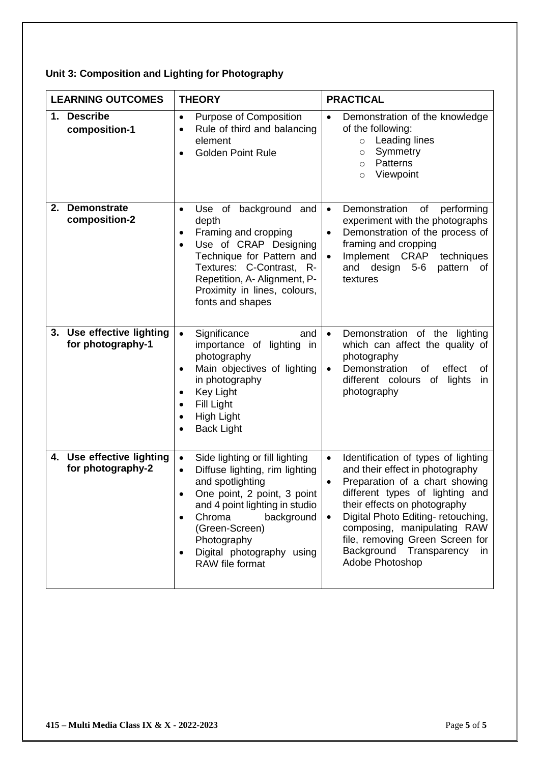# **Unit 3: Composition and Lighting for Photography**

| <b>LEARNING OUTCOMES</b>                          | <b>THEORY</b>                                                                                                                                                                                                                                                                            | <b>PRACTICAL</b>                                                                                                                                                                                                                                                                                                                                                               |
|---------------------------------------------------|------------------------------------------------------------------------------------------------------------------------------------------------------------------------------------------------------------------------------------------------------------------------------------------|--------------------------------------------------------------------------------------------------------------------------------------------------------------------------------------------------------------------------------------------------------------------------------------------------------------------------------------------------------------------------------|
| 1. Describe<br>composition-1                      | Purpose of Composition<br>$\bullet$<br>Rule of third and balancing<br>$\bullet$<br>element<br><b>Golden Point Rule</b>                                                                                                                                                                   | Demonstration of the knowledge<br>$\bullet$<br>of the following:<br>Leading lines<br>$\circ$<br>Symmetry<br>$\circ$<br><b>Patterns</b><br>$\circ$<br>Viewpoint<br>$\circ$                                                                                                                                                                                                      |
| 2.<br><b>Demonstrate</b><br>composition-2         | background<br>Use of<br>and<br>$\bullet$<br>depth<br>Framing and cropping<br>Use of CRAP Designing<br>$\bullet$<br>Technique for Pattern and<br>Textures: C-Contrast, R-<br>Repetition, A- Alignment, P-<br>Proximity in lines, colours,<br>fonts and shapes                             | Demonstration<br>of<br>performing<br>$\bullet$<br>experiment with the photographs<br>Demonstration of the process of<br>$\bullet$<br>framing and cropping<br>Implement CRAP<br>techniques<br>and design<br>pattern of<br>$5-6$<br>textures                                                                                                                                     |
| Use effective lighting<br>3.<br>for photography-1 | Significance<br>and<br>importance of lighting in<br>photography<br>Main objectives of lighting<br>$\bullet$<br>in photography<br><b>Key Light</b><br>Fill Light<br>٠<br>High Light<br><b>Back Light</b>                                                                                  | Demonstration of the lighting<br>$\bullet$<br>which can affect the quality of<br>photography<br>Demonstration<br>effect<br>0f<br>οf<br>$\bullet$<br>different colours of<br>lights<br>in<br>photography                                                                                                                                                                        |
| 4. Use effective lighting<br>for photography-2    | Side lighting or fill lighting<br>Diffuse lighting, rim lighting<br>$\bullet$<br>and spotlighting<br>One point, 2 point, 3 point<br>and 4 point lighting in studio<br>Chroma<br>background<br>$\bullet$<br>(Green-Screen)<br>Photography<br>Digital photography using<br>RAW file format | Identification of types of lighting<br>$\bullet$<br>and their effect in photography<br>Preparation of a chart showing<br>$\bullet$<br>different types of lighting and<br>their effects on photography<br>Digital Photo Editing- retouching,<br>$\bullet$<br>composing, manipulating RAW<br>file, removing Green Screen for<br>Background Transparency<br>in<br>Adobe Photoshop |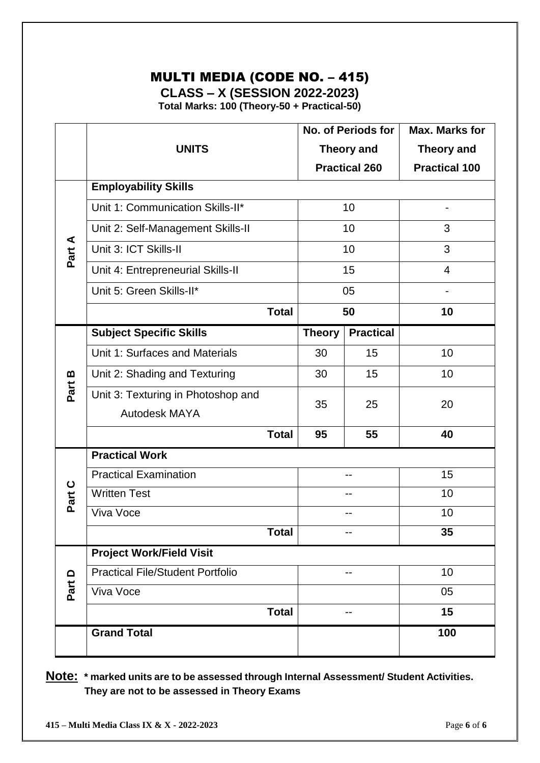# MULTI MEDIA (CODE NO. – 415)

**CLASS – X (SESSION 2022-2023)**

**Total Marks: 100 (Theory-50 + Practical-50)**

|                    |                                         |              |                      | No. of Periods for | Max. Marks for           |
|--------------------|-----------------------------------------|--------------|----------------------|--------------------|--------------------------|
|                    | <b>UNITS</b>                            |              |                      | <b>Theory and</b>  | <b>Theory and</b>        |
|                    |                                         |              | <b>Practical 260</b> |                    | <b>Practical 100</b>     |
|                    | <b>Employability Skills</b>             |              |                      |                    |                          |
|                    | Unit 1: Communication Skills-II*        |              | 10                   |                    | $\overline{\phantom{a}}$ |
|                    | Unit 2: Self-Management Skills-II       |              |                      | 10                 | 3                        |
| Part A             | Unit 3: ICT Skills-II                   |              |                      | 10                 | 3                        |
|                    | Unit 4: Entrepreneurial Skills-II       |              |                      | 15                 | 4                        |
|                    | Unit 5: Green Skills-II*                |              |                      | 05                 |                          |
|                    |                                         | <b>Total</b> |                      | 50                 | 10                       |
|                    | <b>Subject Specific Skills</b>          |              | <b>Theory</b>        | <b>Practical</b>   |                          |
|                    | Unit 1: Surfaces and Materials          |              | 30                   | 15                 | 10                       |
| $\pmb{\mathsf{m}}$ | Unit 2: Shading and Texturing           |              | 30                   | 15                 | 10                       |
| Part               | Unit 3: Texturing in Photoshop and      |              | 35                   | 25                 | 20                       |
|                    | <b>Autodesk MAYA</b>                    |              |                      |                    |                          |
|                    |                                         | <b>Total</b> | 95                   | 55                 | 40                       |
|                    | <b>Practical Work</b>                   |              |                      |                    |                          |
|                    | <b>Practical Examination</b>            |              |                      |                    | $1\overline{5}$          |
| Part C             | <b>Written Test</b>                     |              |                      |                    | 10                       |
|                    | Viva Voce                               |              |                      | --                 | 10                       |
|                    |                                         | <b>Total</b> |                      |                    | 35                       |
|                    | <b>Project Work/Field Visit</b>         |              |                      |                    |                          |
| $\Omega$           | <b>Practical File/Student Portfolio</b> |              |                      | --                 | 10                       |
| Part               | Viva Voce                               |              |                      |                    | 05                       |
|                    |                                         | <b>Total</b> |                      |                    | 15                       |
|                    | <b>Grand Total</b>                      |              |                      |                    | 100                      |
|                    |                                         |              |                      |                    |                          |

**Note: \* marked units are to be assessed through Internal Assessment/ Student Activities. They are not to be assessed in Theory Exams**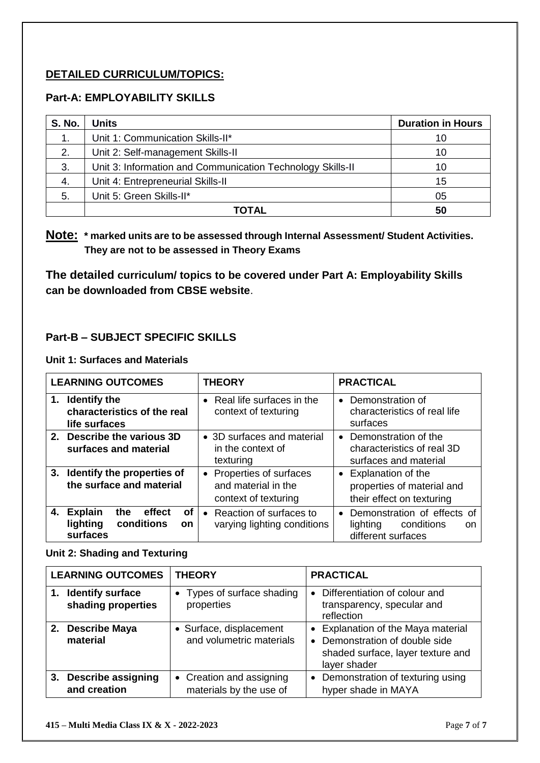### **DETAILED CURRICULUM/TOPICS:**

### **Part-A: EMPLOYABILITY SKILLS**

| <b>S. No.</b> | <b>Units</b>                                               | <b>Duration in Hours</b> |
|---------------|------------------------------------------------------------|--------------------------|
|               | Unit 1: Communication Skills-II*                           | 10                       |
| 2.            | Unit 2: Self-management Skills-II                          | 10                       |
| 3.            | Unit 3: Information and Communication Technology Skills-II | 10                       |
| 4.            | Unit 4: Entrepreneurial Skills-II                          | 15                       |
| 5.            | Unit 5: Green Skills-II*                                   | 05                       |
|               | TOTAL                                                      | 50                       |

# **Note: \* marked units are to be assessed through Internal Assessment/ Student Activities. They are not to be assessed in Theory Exams**

**The detailed curriculum/ topics to be covered under Part A: Employability Skills can be downloaded from CBSE website**.

### **Part-B – SUBJECT SPECIFIC SKILLS**

### **Unit 1: Surfaces and Materials**

| <b>LEARNING OUTCOMES</b>                                                                 | <b>THEORY</b>                                                           | <b>PRACTICAL</b>                                                                                |
|------------------------------------------------------------------------------------------|-------------------------------------------------------------------------|-------------------------------------------------------------------------------------------------|
| <b>Identify the</b><br>1.<br>characteristics of the real<br>life surfaces                | • Real life surfaces in the<br>context of texturing                     | Demonstration of<br>$\bullet$<br>characteristics of real life<br>surfaces                       |
| 2. Describe the various 3D<br>surfaces and material                                      | • 3D surfaces and material<br>in the context of<br>texturing            | Demonstration of the<br>$\bullet$<br>characteristics of real 3D<br>surfaces and material        |
| 3. Identify the properties of<br>the surface and material                                | • Properties of surfaces<br>and material in the<br>context of texturing | • Explanation of the<br>properties of material and<br>their effect on texturing                 |
| <b>Explain</b><br>effect<br>the<br>οf<br>4.<br>conditions<br>lighting<br>on.<br>surfaces | • Reaction of surfaces to<br>varying lighting conditions                | Demonstration of effects of<br>$\bullet$<br>conditions<br>lighting<br>on.<br>different surfaces |

#### **Unit 2: Shading and Texturing**

| <b>LEARNING OUTCOMES</b> |                                               | <b>THEORY</b>                                       | <b>PRACTICAL</b>                                                                                                          |
|--------------------------|-----------------------------------------------|-----------------------------------------------------|---------------------------------------------------------------------------------------------------------------------------|
| 1.                       | <b>Identify surface</b><br>shading properties | • Types of surface shading<br>properties            | • Differentiation of colour and<br>transparency, specular and<br>reflection                                               |
|                          | 2. Describe Maya<br>material                  | • Surface, displacement<br>and volumetric materials | • Explanation of the Maya material<br>• Demonstration of double side<br>shaded surface, layer texture and<br>layer shader |
|                          | 3. Describe assigning<br>and creation         | • Creation and assigning<br>materials by the use of | • Demonstration of texturing using<br>hyper shade in MAYA                                                                 |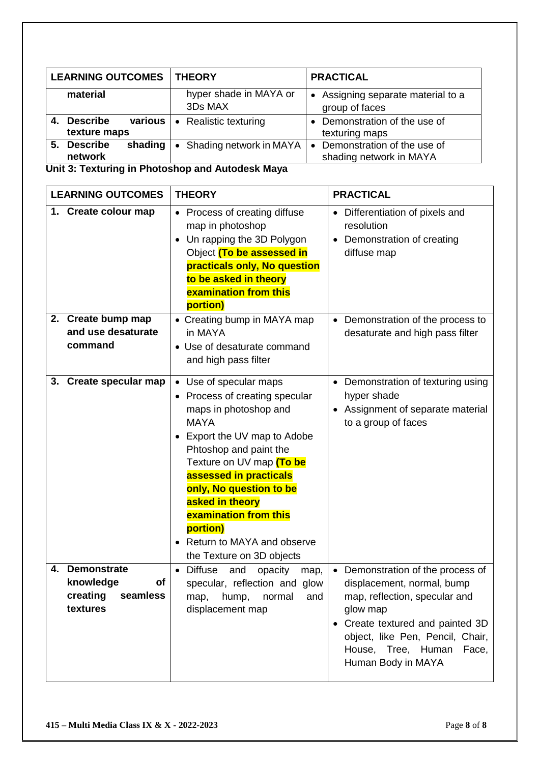| <b>LEARNING OUTCOMES</b>                    | <b>THEORY</b>                        | <b>PRACTICAL</b>                                                    |
|---------------------------------------------|--------------------------------------|---------------------------------------------------------------------|
| material                                    | hyper shade in MAYA or<br>3Ds MAX    | • Assigning separate material to a<br>group of faces                |
| various<br><b>Describe</b><br>texture maps  | Realistic texturing<br>$\bullet$     | • Demonstration of the use of<br>texturing maps                     |
| <b>Describe</b><br>shading<br>5.<br>network | Shading network in MAYA<br>$\bullet$ | Demonstration of the use of<br>$\bullet$<br>shading network in MAYA |

**Unit 3: Texturing in Photoshop and Autodesk Maya**

| <b>LEARNING OUTCOMES</b>                                                        | <b>THEORY</b>                                                                                                                                                                                                                                                                                                                                                    | <b>PRACTICAL</b>                                                                                                                                                                                                                          |
|---------------------------------------------------------------------------------|------------------------------------------------------------------------------------------------------------------------------------------------------------------------------------------------------------------------------------------------------------------------------------------------------------------------------------------------------------------|-------------------------------------------------------------------------------------------------------------------------------------------------------------------------------------------------------------------------------------------|
| 1. Create colour map                                                            | • Process of creating diffuse<br>map in photoshop<br>• Un rapping the 3D Polygon<br>Object (To be assessed in<br>practicals only, No question<br>to be asked in theory<br>examination from this<br>portion)                                                                                                                                                      | • Differentiation of pixels and<br>resolution<br>Demonstration of creating<br>diffuse map                                                                                                                                                 |
| 2. Create bump map<br>and use desaturate<br>command                             | • Creating bump in MAYA map<br>in MAYA<br>• Use of desaturate command<br>and high pass filter                                                                                                                                                                                                                                                                    | • Demonstration of the process to<br>desaturate and high pass filter                                                                                                                                                                      |
| 3. Create specular map                                                          | • Use of specular maps<br>• Process of creating specular<br>maps in photoshop and<br><b>MAYA</b><br>• Export the UV map to Adobe<br>Phtoshop and paint the<br>Texture on UV map (To be<br>assessed in practicals<br>only, No question to be<br>asked in theory<br>examination from this<br>portion)<br>• Return to MAYA and observe<br>the Texture on 3D objects | • Demonstration of texturing using<br>hyper shade<br>• Assignment of separate material<br>to a group of faces                                                                                                                             |
| <b>Demonstrate</b><br>4.<br>knowledge<br>of<br>creating<br>seamless<br>textures | • Diffuse<br>and<br>opacity<br>map,<br>specular, reflection and glow<br>hump,<br>normal<br>and<br>map,<br>displacement map                                                                                                                                                                                                                                       | • Demonstration of the process of<br>displacement, normal, bump<br>map, reflection, specular and<br>glow map<br>• Create textured and painted 3D<br>object, like Pen, Pencil, Chair,<br>House, Tree, Human<br>Face,<br>Human Body in MAYA |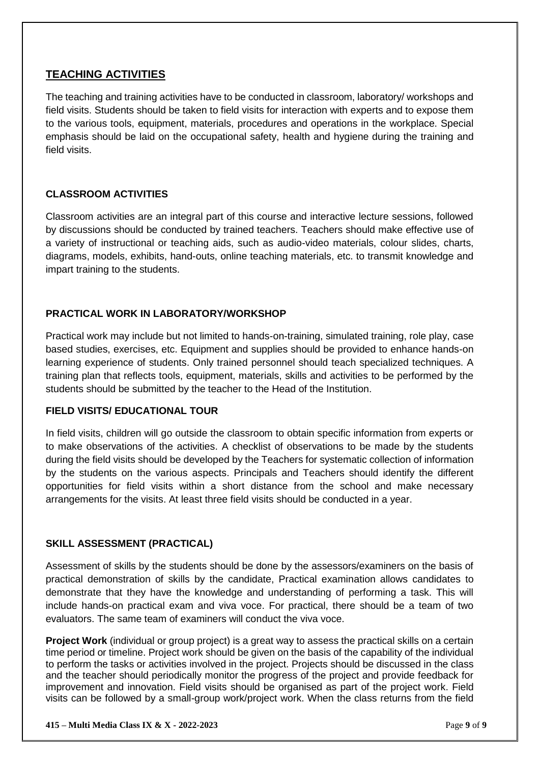### **TEACHING ACTIVITIES**

The teaching and training activities have to be conducted in classroom, laboratory/ workshops and field visits. Students should be taken to field visits for interaction with experts and to expose them to the various tools, equipment, materials, procedures and operations in the workplace. Special emphasis should be laid on the occupational safety, health and hygiene during the training and field visits.

### **CLASSROOM ACTIVITIES**

Classroom activities are an integral part of this course and interactive lecture sessions, followed by discussions should be conducted by trained teachers. Teachers should make effective use of a variety of instructional or teaching aids, such as audio-video materials, colour slides, charts, diagrams, models, exhibits, hand-outs, online teaching materials, etc. to transmit knowledge and impart training to the students.

### **PRACTICAL WORK IN LABORATORY/WORKSHOP**

Practical work may include but not limited to hands-on-training, simulated training, role play, case based studies, exercises, etc. Equipment and supplies should be provided to enhance hands-on learning experience of students. Only trained personnel should teach specialized techniques. A training plan that reflects tools, equipment, materials, skills and activities to be performed by the students should be submitted by the teacher to the Head of the Institution.

### **FIELD VISITS/ EDUCATIONAL TOUR**

In field visits, children will go outside the classroom to obtain specific information from experts or to make observations of the activities. A checklist of observations to be made by the students during the field visits should be developed by the Teachers for systematic collection of information by the students on the various aspects. Principals and Teachers should identify the different opportunities for field visits within a short distance from the school and make necessary arrangements for the visits. At least three field visits should be conducted in a year.

### **SKILL ASSESSMENT (PRACTICAL)**

Assessment of skills by the students should be done by the assessors/examiners on the basis of practical demonstration of skills by the candidate, Practical examination allows candidates to demonstrate that they have the knowledge and understanding of performing a task. This will include hands-on practical exam and viva voce. For practical, there should be a team of two evaluators. The same team of examiners will conduct the viva voce.

**Project Work** (individual or group project) is a great way to assess the practical skills on a certain time period or timeline. Project work should be given on the basis of the capability of the individual to perform the tasks or activities involved in the project. Projects should be discussed in the class and the teacher should periodically monitor the progress of the project and provide feedback for improvement and innovation. Field visits should be organised as part of the project work. Field visits can be followed by a small-group work/project work. When the class returns from the field